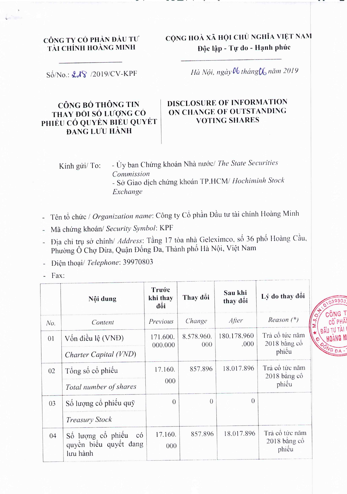## CÔNG TY CỔ PHẢN ĐẦU TƯ TÀI CHÍNH HOÀNG MINH

CỘNG HOÀ XÃ HỘI CHỦ NGHĨA VIỆT NAM Độc lập - Tự do - Hạnh phúc

Số/No.: £18 /2019/CV-KPF

## Hà Nội, ngày 06 tháng 06 năm 2019

## CÔNG BỐ THÔNG TIN THAY ĐỔI SỐ LƯỢNG CÓ PHIẾU CÓ QUYỀN BIỂU QUYẾT **DANG LUU HÀNH**

## DISCLOSURE OF INFORMATION ON CHANGE OF OUTSTANDING **VOTING SHARES**

- Ủy ban Chứng khoán Nhà nước/ The State Securities Kính gửi/ To: Commission - Sở Giao dịch chứng khoán TP.HCM/ Hochiminh Stock Exchange

- Tên tổ chức / Organization name: Công ty Cổ phần Đầu tư tài chính Hoàng Minh
- Mã chứng khoán/ Security Symbol: KPF
- Địa chỉ trụ sở chính/ Address: Tầng 17 tòa nhà Geleximco, số 36 phố Hoàng Cầu, Phường Ô Chợ Dừa, Quận Đống Đa, Thành phố Hà Nội, Việt Nam

- Điện thoại/ Telephone: 39970803

Fax:

|     | Nội dung                                                                 | Trước<br>khi thay<br>đối | Thay đôi          | Sau khi<br>thay đôi | Lý do thay đôi                          |
|-----|--------------------------------------------------------------------------|--------------------------|-------------------|---------------------|-----------------------------------------|
| No. | Content                                                                  | Previous                 | Change            | After               | $Reason (*)$                            |
| 01  | Vốn điều lệ (VNĐ)                                                        | 171.600.<br>000.000      | 8.578.960.<br>000 | 180.178.960<br>.000 | Trả cô tức năm<br>2018 băng cô<br>phiếu |
|     | Charter Capital (VND)                                                    |                          |                   |                     |                                         |
| 02  | Tổng số cổ phiếu                                                         | 17.160.<br>000           | 857.896           | 18.017.896          | Trả cô tức năm<br>2018 băng cô<br>phiêu |
|     | Total number of shares                                                   |                          |                   |                     |                                         |
| 03  | Số lượng cổ phiếu quỹ                                                    | $\overline{0}$           | $\Omega$          | $\overline{0}$      |                                         |
|     | <b>Treasury Stock</b>                                                    |                          |                   |                     |                                         |
| 04  | Số lượng cổ phiếu<br>$\overline{c}$<br>quyền biểu quyết đang<br>lưu hành | 17.160.<br>000           | 857.896           | 18.017.896          | Trả cô tức năm<br>2018 bằng cô<br>phiều |